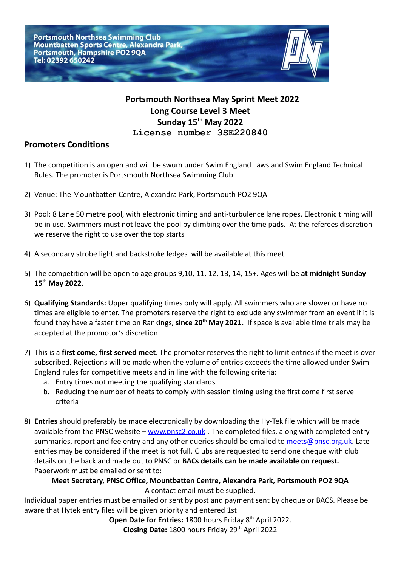

## **Portsmouth Northsea May Sprint Meet 2022 Long Course Level 3 Meet Sunday 15 th May 2022 License number 3SE220840**

## **Promoters Conditions**

- 1) The competition is an open and will be swum under Swim England Laws and Swim England Technical Rules. The promoter is Portsmouth Northsea Swimming Club.
- 2) Venue: The Mountbatten Centre, Alexandra Park, Portsmouth PO2 9QA
- 3) Pool: 8 Lane 50 metre pool, with electronic timing and anti-turbulence lane ropes. Electronic timing will be in use. Swimmers must not leave the pool by climbing over the time pads. At the referees discretion we reserve the right to use over the top starts
- 4) A secondary strobe light and backstroke ledges will be available at this meet
- 5) The competition will be open to age groups 9,10, 11, 12, 13, 14, 15+. Ages will be **at midnight Sunday 15th May 2022.**
- 6) **Qualifying Standards:** Upper qualifying times only will apply. All swimmers who are slower or have no times are eligible to enter. The promoters reserve the right to exclude any swimmer from an event if it is found they have a faster time on Rankings, **since 20th May 2021.** If space is available time trials may be accepted at the promotor's discretion.
- 7) This is a **first come, first served meet**. The promoter reserves the right to limit entries if the meet is over subscribed. Rejections will be made when the volume of entries exceeds the time allowed under Swim England rules for competitive meets and in line with the following criteria:
	- a. Entry times not meeting the qualifying standards
	- b. Reducing the number of heats to comply with session timing using the first come first serve criteria
- 8) **Entries** should preferably be made electronically by downloading the Hy-Tek file which will be made available from the PNSC website – [www.pnsc2.co.uk](http://www.pnsc2.co.uk). The completed files, along with completed entry summaries, report and fee entry and any other queries should be emailed to [meets@pnsc.org.uk](mailto:meets@pnsc.org.uk). Late entries may be considered if the meet is not full. Clubs are requested to send one cheque with club details on the back and made out to PNSC or **BACs details can be made available on request.** Paperwork must be emailed or sent to:

**Meet Secretary, PNSC Office, Mountbatten Centre, Alexandra Park, Portsmouth PO2 9QA** A contact email must be supplied.

Individual paper entries must be emailed or sent by post and payment sent by cheque or BACS. Please be aware that Hytek entry files will be given priority and entered 1st

**Open Date for Entries: 1800 hours Friday 8<sup>th</sup> April 2022.** 

Closing Date: 1800 hours Friday 29<sup>th</sup> April 2022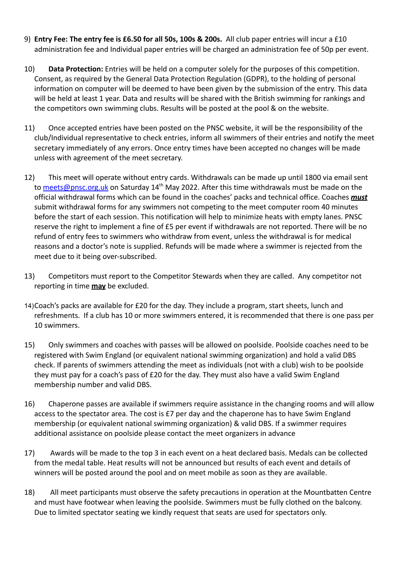- 9) **Entry Fee: The entry fee is £6.50 for all 50s, 100s & 200s.** All club paper entries will incur a £10 administration fee and Individual paper entries will be charged an administration fee of 50p per event.
- 10) **Data Protection:** Entries will be held on a computer solely for the purposes of this competition. Consent, as required by the General Data Protection Regulation (GDPR), to the holding of personal information on computer will be deemed to have been given by the submission of the entry. This data will be held at least 1 year. Data and results will be shared with the British swimming for rankings and the competitors own swimming clubs. Results will be posted at the pool & on the website.
- 11) Once accepted entries have been posted on the PNSC website, it will be the responsibility of the club/Individual representative to check entries, inform all swimmers of their entries and notify the meet secretary immediately of any errors. Once entry times have been accepted no changes will be made unless with agreement of the meet secretary.
- 12) This meet will operate without entry cards. Withdrawals can be made up until 1800 via email sent to [meets@pnsc.org.uk](mailto:meets@pnsc.org.uk) on Saturday 14<sup>th</sup> May 2022. After this time withdrawals must be made on the official withdrawal forms which can be found in the coaches' packs and technical office. Coaches *must* submit withdrawal forms for any swimmers not competing to the meet computer room 40 minutes before the start of each session. This notification will help to minimize heats with empty lanes. PNSC reserve the right to implement a fine of £5 per event if withdrawals are not reported. There will be no refund of entry fees to swimmers who withdraw from event, unless the withdrawal is for medical reasons and a doctor's note is supplied. Refunds will be made where a swimmer is rejected from the meet due to it being over-subscribed.
- 13) Competitors must report to the Competitor Stewards when they are called. Any competitor not reporting in time **may** be excluded.
- 14)Coach's packs are available for £20 for the day. They include a program, start sheets, lunch and refreshments. If a club has 10 or more swimmers entered, it is recommended that there is one pass per 10 swimmers.
- 15) Only swimmers and coaches with passes will be allowed on poolside. Poolside coaches need to be registered with Swim England (or equivalent national swimming organization) and hold a valid DBS check. If parents of swimmers attending the meet as individuals (not with a club) wish to be poolside they must pay for a coach's pass of £20 for the day. They must also have a valid Swim England membership number and valid DBS.
- 16) Chaperone passes are available if swimmers require assistance in the changing rooms and will allow access to the spectator area. The cost is £7 per day and the chaperone has to have Swim England membership (or equivalent national swimming organization) & valid DBS. If a swimmer requires additional assistance on poolside please contact the meet organizers in advance
- 17) Awards will be made to the top 3 in each event on a heat declared basis. Medals can be collected from the medal table. Heat results will not be announced but results of each event and details of winners will be posted around the pool and on meet mobile as soon as they are available.
- 18) All meet participants must observe the safety precautions in operation at the Mountbatten Centre and must have footwear when leaving the poolside. Swimmers must be fully clothed on the balcony. Due to limited spectator seating we kindly request that seats are used for spectators only.